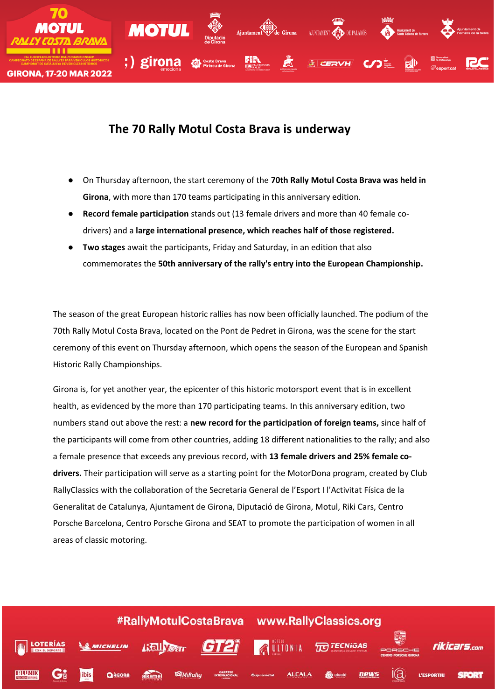

## **The 70 Rally Motul Costa Brava is underway**

- On Thursday afternoon, the start ceremony of the **70th Rally Motul Costa Brava was held in Girona**, with more than 170 teams participating in this anniversary edition.
- **Record female participation** stands out (13 female drivers and more than 40 female codrivers) and a **large international presence, which reaches half of those registered.**
- **Two stages** await the participants, Friday and Saturday, in an edition that also commemorates the **50th anniversary of the rally's entry into the European Championship.**

The season of the great European historic rallies has now been officially launched. The podium of the 70th Rally Motul Costa Brava, located on the Pont de Pedret in Girona, was the scene for the start ceremony of this event on Thursday afternoon, which opens the season of the European and Spanish Historic Rally Championships.

Girona is, for yet another year, the epicenter of this historic motorsport event that is in excellent health, as evidenced by the more than 170 participating teams. In this anniversary edition, two numbers stand out above the rest: a **new record for the participation of foreign teams,** since half of the participants will come from other countries, adding 18 different nationalities to the rally; and also a female presence that exceeds any previous record, with **13 female drivers and 25% female codrivers.** Their participation will serve as a starting point for the MotorDona program, created by Club RallyClassics with the collaboration of the Secretaria General de l'Esport I l'Activitat Física de la Generalitat de Catalunya, Ajuntament de Girona, Diputació de Girona, Motul, Riki Cars, Centro Porsche Barcelona, Centro Porsche Girona and SEAT to promote the participation of women in all areas of classic motoring.

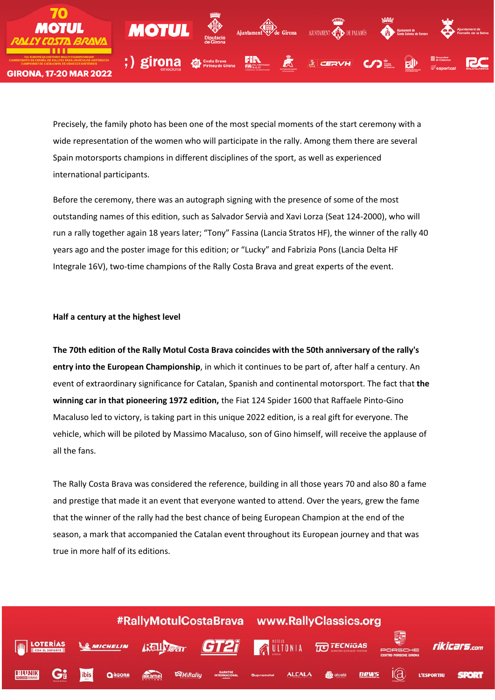

Precisely, the family photo has been one of the most special moments of the start ceremony with a wide representation of the women who will participate in the rally. Among them there are several Spain motorsports champions in different disciplines of the sport, as well as experienced international participants.

Before the ceremony, there was an autograph signing with the presence of some of the most outstanding names of this edition, such as Salvador Servià and Xavi Lorza (Seat 124-2000), who will run a rally together again 18 years later; "Tony" Fassina (Lancia Stratos HF), the winner of the rally 40 years ago and the poster image for this edition; or "Lucky" and Fabrizia Pons (Lancia Delta HF Integrale 16V), two-time champions of the Rally Costa Brava and great experts of the event.

## **Half a century at the highest level**

**The 70th edition of the Rally Motul Costa Brava coincides with the 50th anniversary of the rally's entry into the European Championship**, in which it continues to be part of, after half a century. An event of extraordinary significance for Catalan, Spanish and continental motorsport. The fact that **the winning car in that pioneering 1972 edition,** the Fiat 124 Spider 1600 that Raffaele Pinto-Gino Macaluso led to victory, is taking part in this unique 2022 edition, is a real gift for everyone. The vehicle, which will be piloted by Massimo Macaluso, son of Gino himself, will receive the applause of all the fans.

The Rally Costa Brava was considered the reference, building in all those years 70 and also 80 a fame and prestige that made it an event that everyone wanted to attend. Over the years, grew the fame that the winner of the rally had the best chance of being European Champion at the end of the season, a mark that accompanied the Catalan event throughout its European journey and that was true in more half of its editions.

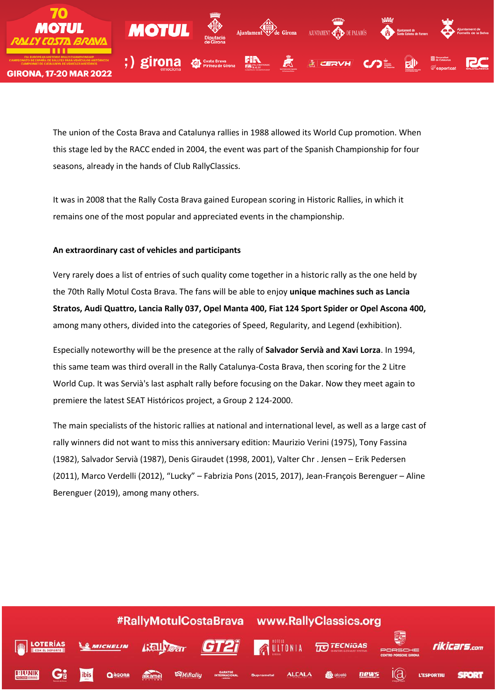

The union of the Costa Brava and Catalunya rallies in 1988 allowed its World Cup promotion. When this stage led by the RACC ended in 2004, the event was part of the Spanish Championship for four seasons, already in the hands of Club RallyClassics.

It was in 2008 that the Rally Costa Brava gained European scoring in Historic Rallies, in which it remains one of the most popular and appreciated events in the championship.

## **An extraordinary cast of vehicles and participants**

Very rarely does a list of entries of such quality come together in a historic rally as the one held by the 70th Rally Motul Costa Brava. The fans will be able to enjoy **unique machines such as Lancia Stratos, Audi Quattro, Lancia Rally 037, Opel Manta 400, Fiat 124 Sport Spider or Opel Ascona 400,** among many others, divided into the categories of Speed, Regularity, and Legend (exhibition).

Especially noteworthy will be the presence at the rally of **Salvador Servià and Xavi Lorza**. In 1994, this same team was third overall in the Rally Catalunya-Costa Brava, then scoring for the 2 Litre World Cup. It was Servià's last asphalt rally before focusing on the Dakar. Now they meet again to premiere the latest SEAT Históricos project, a Group 2 124-2000.

The main specialists of the historic rallies at national and international level, as well as a large cast of rally winners did not want to miss this anniversary edition: Maurizio Verini (1975), Tony Fassina (1982), Salvador Servià (1987), Denis Giraudet (1998, 2001), Valter Chr . Jensen – Erik Pedersen (2011), Marco Verdelli (2012), "Lucky" – Fabrizia Pons (2015, 2017), Jean-François Berenguer – Aline Berenguer (2019), among many others.